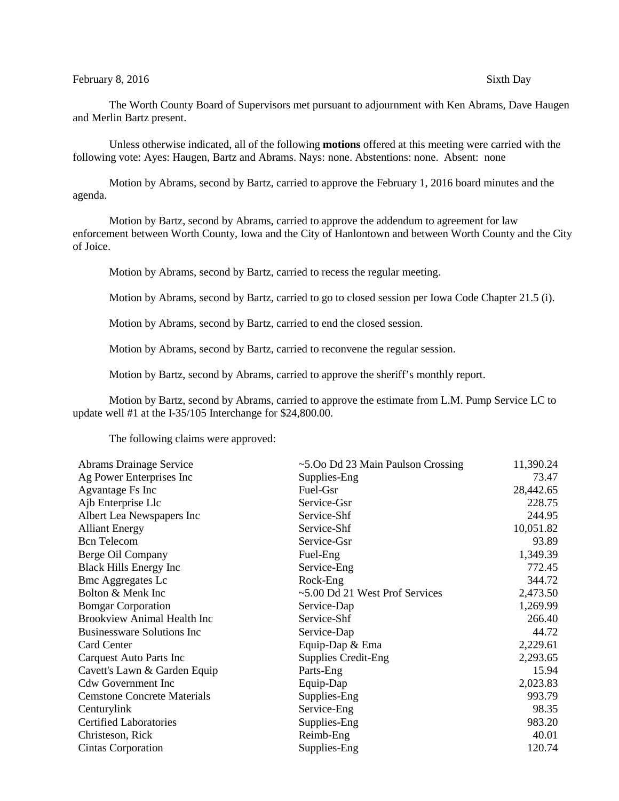## February 8, 2016 Sixth Day

The Worth County Board of Supervisors met pursuant to adjournment with Ken Abrams, Dave Haugen and Merlin Bartz present.

Unless otherwise indicated, all of the following **motions** offered at this meeting were carried with the following vote: Ayes: Haugen, Bartz and Abrams. Nays: none. Abstentions: none. Absent: none

Motion by Abrams, second by Bartz, carried to approve the February 1, 2016 board minutes and the agenda.

Motion by Bartz, second by Abrams, carried to approve the addendum to agreement for law enforcement between Worth County, Iowa and the City of Hanlontown and between Worth County and the City of Joice.

Motion by Abrams, second by Bartz, carried to recess the regular meeting.

Motion by Abrams, second by Bartz, carried to go to closed session per Iowa Code Chapter 21.5 (i).

Motion by Abrams, second by Bartz, carried to end the closed session.

Motion by Abrams, second by Bartz, carried to reconvene the regular session.

Motion by Bartz, second by Abrams, carried to approve the sheriff's monthly report.

Motion by Bartz, second by Abrams, carried to approve the estimate from L.M. Pump Service LC to update well #1 at the I-35/105 Interchange for \$24,800.00.

The following claims were approved:

| Abrams Drainage Service            | $\sim$ 5.00 Dd 23 Main Paulson Crossing | 11,390.24 |
|------------------------------------|-----------------------------------------|-----------|
| Ag Power Enterprises Inc           | Supplies-Eng                            | 73.47     |
| Agvantage Fs Inc                   | Fuel-Gsr                                | 28,442.65 |
| Ajb Enterprise Llc                 | Service-Gsr                             | 228.75    |
| Albert Lea Newspapers Inc          | Service-Shf                             | 244.95    |
| <b>Alliant Energy</b>              | Service-Shf                             | 10,051.82 |
| <b>Bcn</b> Telecom                 | Service-Gsr                             | 93.89     |
| Berge Oil Company                  | Fuel-Eng                                | 1,349.39  |
| <b>Black Hills Energy Inc</b>      | Service-Eng                             | 772.45    |
| <b>Bmc Aggregates Lc</b>           | Rock-Eng                                | 344.72    |
| Bolton & Menk Inc                  | ~5.00 Dd 21 West Prof Services          | 2,473.50  |
| <b>Bomgar Corporation</b>          | Service-Dap                             | 1,269.99  |
| <b>Brookview Animal Health Inc</b> | Service-Shf                             | 266.40    |
| <b>Businessware Solutions Inc</b>  | Service-Dap                             | 44.72     |
| Card Center                        | Equip-Dap & Ema                         | 2,229.61  |
| Carquest Auto Parts Inc            | <b>Supplies Credit-Eng</b>              | 2,293.65  |
| Cavett's Lawn & Garden Equip       | Parts-Eng                               | 15.94     |
| <b>Cdw Government Inc</b>          | Equip-Dap                               | 2,023.83  |
| <b>Cemstone Concrete Materials</b> | Supplies-Eng                            | 993.79    |
| Centurylink                        | Service-Eng                             | 98.35     |
| <b>Certified Laboratories</b>      | Supplies-Eng                            | 983.20    |
| Christeson, Rick                   | Reimb-Eng                               | 40.01     |
| Cintas Corporation                 | Supplies-Eng                            | 120.74    |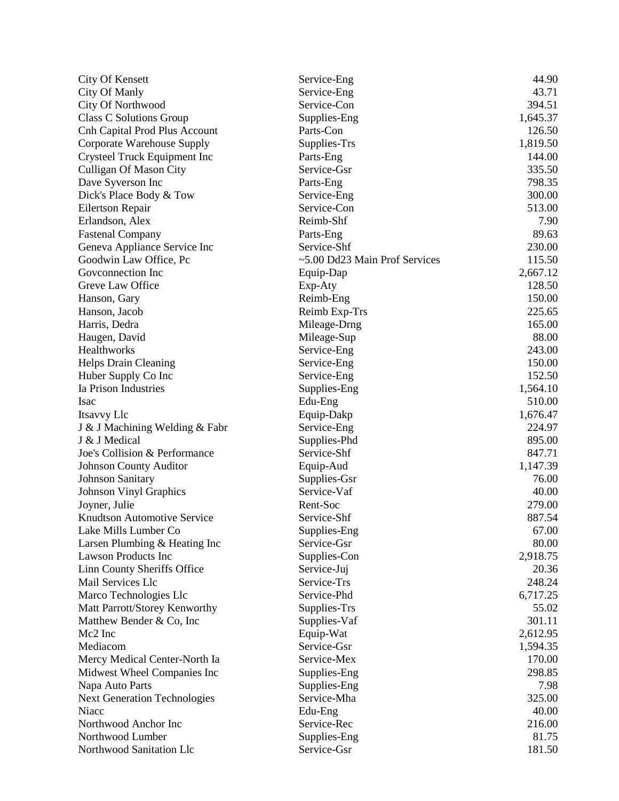| <b>City Of Kensett</b>               | Service-Eng                   | 44.90    |
|--------------------------------------|-------------------------------|----------|
| City Of Manly                        | Service-Eng                   | 43.71    |
| City Of Northwood                    | Service-Con                   | 394.51   |
| <b>Class C Solutions Group</b>       | Supplies-Eng                  | 1,645.37 |
| <b>Cnh Capital Prod Plus Account</b> | Parts-Con                     | 126.50   |
| Corporate Warehouse Supply           | Supplies-Trs                  | 1,819.50 |
| Crysteel Truck Equipment Inc         | Parts-Eng                     | 144.00   |
| Culligan Of Mason City               | Service-Gsr                   | 335.50   |
| Dave Syverson Inc                    | Parts-Eng                     | 798.35   |
| Dick's Place Body & Tow              | Service-Eng                   | 300.00   |
| <b>Eilertson Repair</b>              | Service-Con                   | 513.00   |
| Erlandson, Alex                      | Reimb-Shf                     | 7.90     |
| <b>Fastenal Company</b>              | Parts-Eng                     | 89.63    |
| Geneva Appliance Service Inc         | Service-Shf                   | 230.00   |
| Goodwin Law Office, Pc               | ~5.00 Dd23 Main Prof Services | 115.50   |
| Goveonnection Inc                    | Equip-Dap                     | 2,667.12 |
| Greve Law Office                     | Exp-Aty                       | 128.50   |
| Hanson, Gary                         | Reimb-Eng                     | 150.00   |
| Hanson, Jacob                        | Reimb Exp-Trs                 | 225.65   |
| Harris, Dedra                        | Mileage-Drng                  | 165.00   |
| Haugen, David                        | Mileage-Sup                   | 88.00    |
| <b>Healthworks</b>                   | Service-Eng                   | 243.00   |
| <b>Helps Drain Cleaning</b>          | Service-Eng                   | 150.00   |
| Huber Supply Co Inc                  | Service-Eng                   | 152.50   |
| Ia Prison Industries                 | Supplies-Eng                  | 1,564.10 |
| Isac                                 | Edu-Eng                       | 510.00   |
| Itsavvy Llc                          | Equip-Dakp                    | 1,676.47 |
| J & J Machining Welding & Fabr       | Service-Eng                   | 224.97   |
| J & J Medical                        | Supplies-Phd                  | 895.00   |
| Joe's Collision & Performance        | Service-Shf                   | 847.71   |
|                                      |                               |          |
| <b>Johnson County Auditor</b>        | Equip-Aud                     | 1,147.39 |
| <b>Johnson Sanitary</b>              | Supplies-Gsr<br>Service-Vaf   | 76.00    |
| <b>Johnson Vinyl Graphics</b>        | Rent-Soc                      | 40.00    |
| Joyner, Julie                        |                               | 279.00   |
| <b>Knudtson Automotive Service</b>   | Service-Shf                   | 887.54   |
| Lake Mills Lumber Co                 | Supplies-Eng                  | 67.00    |
| Larsen Plumbing & Heating Inc        | Service-Gsr                   | 80.00    |
| <b>Lawson Products Inc</b>           | Supplies-Con                  | 2,918.75 |
| Linn County Sheriffs Office          | Service-Juj                   | 20.36    |
| Mail Services Llc                    | Service-Trs                   | 248.24   |
| Marco Technologies Llc               | Service-Phd                   | 6,717.25 |
| Matt Parrott/Storey Kenworthy        | Supplies-Trs                  | 55.02    |
| Matthew Bender & Co, Inc             | Supplies-Vaf                  | 301.11   |
| Mc2 Inc                              | Equip-Wat                     | 2,612.95 |
| Mediacom                             | Service-Gsr                   | 1,594.35 |
| Mercy Medical Center-North Ia        | Service-Mex                   | 170.00   |
| Midwest Wheel Companies Inc          | Supplies-Eng                  | 298.85   |
| Napa Auto Parts                      | Supplies-Eng                  | 7.98     |
| <b>Next Generation Technologies</b>  | Service-Mha                   | 325.00   |
| Niacc                                | Edu-Eng                       | 40.00    |
| Northwood Anchor Inc                 | Service-Rec                   | 216.00   |
| Northwood Lumber                     | Supplies-Eng                  | 81.75    |
| Northwood Sanitation Llc             | Service-Gsr                   | 181.50   |